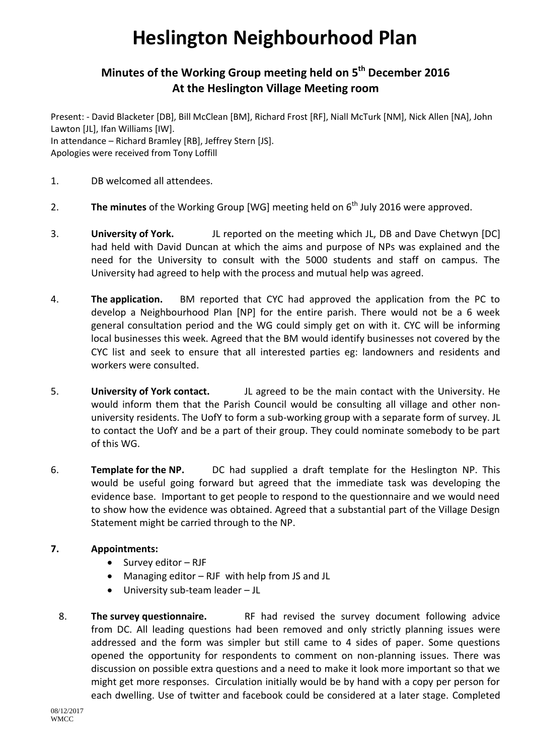## **Heslington Neighbourhood Plan**

## **Minutes of the Working Group meeting held on 5 th December 2016 At the Heslington Village Meeting room**

Present: - David Blacketer [DB], Bill McClean [BM], Richard Frost [RF], Niall McTurk [NM], Nick Allen [NA], John Lawton [JL], Ifan Williams [IW].

In attendance – Richard Bramley [RB], Jeffrey Stern [JS]. Apologies were received from Tony Loffill

- 1. DB welcomed all attendees.
- 2. The minutes of the Working Group [WG] meeting held on 6<sup>th</sup> July 2016 were approved.
- 3. **University of York.** JL reported on the meeting which JL, DB and Dave Chetwyn [DC] had held with David Duncan at which the aims and purpose of NPs was explained and the need for the University to consult with the 5000 students and staff on campus. The University had agreed to help with the process and mutual help was agreed.
- 4. **The application.** BM reported that CYC had approved the application from the PC to develop a Neighbourhood Plan [NP] for the entire parish. There would not be a 6 week general consultation period and the WG could simply get on with it. CYC will be informing local businesses this week. Agreed that the BM would identify businesses not covered by the CYC list and seek to ensure that all interested parties eg: landowners and residents and workers were consulted.
- 5. **University of York contact.** JL agreed to be the main contact with the University. He would inform them that the Parish Council would be consulting all village and other nonuniversity residents. The UofY to form a sub-working group with a separate form of survey. JL to contact the UofY and be a part of their group. They could nominate somebody to be part of this WG.
- 6. **Template for the NP.** DC had supplied a draft template for the Heslington NP. This would be useful going forward but agreed that the immediate task was developing the evidence base. Important to get people to respond to the questionnaire and we would need to show how the evidence was obtained. Agreed that a substantial part of the Village Design Statement might be carried through to the NP.

## **7. Appointments:**

- $\bullet$  Survey editor RJF
- Managing editor RJF with help from JS and JL
- University sub-team leader JL
- 8. **The survey questionnaire.** RF had revised the survey document following advice from DC. All leading questions had been removed and only strictly planning issues were addressed and the form was simpler but still came to 4 sides of paper. Some questions opened the opportunity for respondents to comment on non-planning issues. There was discussion on possible extra questions and a need to make it look more important so that we might get more responses. Circulation initially would be by hand with a copy per person for each dwelling. Use of twitter and facebook could be considered at a later stage. Completed